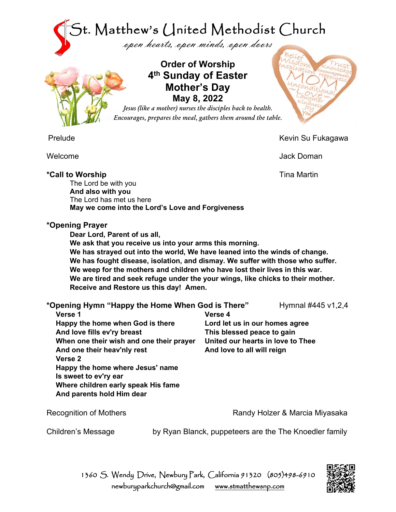



**Order of Worship 4th Sunday of Easter Mother's Day May 8, 2022**

*Jesus (like a mother) nurses the disciples back to health. Encourages, prepares the meal, gathers them around the table.*

Prelude Kevin Su Fukagawa

Welcome Jack Doman

**\*Call to Worship** Tina Martin The Lord be with you **And also with you** The Lord has met us here **May we come into the Lord's Love and Forgiveness**

# **\*Opening Prayer**

**Dear Lord, Parent of us all,**

**We ask that you receive us into your arms this morning. We has strayed out into the world, We have leaned into the winds of change. We has fought disease, isolation, and dismay. We suffer with those who suffer. We weep for the mothers and children who have lost their lives in this war. We are tired and seek refuge under the your wings, like chicks to their mother. Receive and Restore us this day! Amen.**

| *Opening Hymn "Happy the Home When God is There" |                                | Hymnal #445 v1,2,4 |
|--------------------------------------------------|--------------------------------|--------------------|
| Verse 1                                          | Verse 4                        |                    |
| Happy the home when God is there                 | Lord let us in our homes agree |                    |

**Happy the home when And love fills ev'ry breast When one their wish and one their prayer And one their heav'nly rest Verse 2 Happy the home where Jesus' name Is sweet to ev'ry ear Where children early speak His fame And parents hold Him dear**

Recognition of Mothers **Randy Holzer & Marcia Miyasaka** 

Children's Message by Ryan Blanck, puppeteers are the The Knoedler family

**This blessed peace to gain**

**And love to all will reign**

**United our hearts in love to Thee**

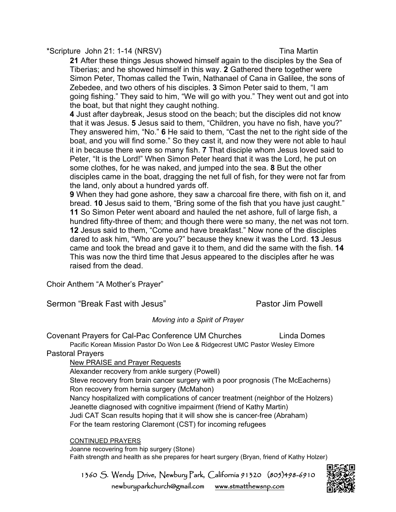\*Scripture John 21: 1-14 (NRSV) Tina Martin

**21** After these things Jesus showed himself again to the disciples by the Sea of Tiberias; and he showed himself in this way. **2** Gathered there together were Simon Peter, Thomas called the Twin, Nathanael of Cana in Galilee, the sons of Zebedee, and two others of his disciples. **3** Simon Peter said to them, "I am going fishing." They said to him, "We will go with you." They went out and got into the boat, but that night they caught nothing.

**4** Just after daybreak, Jesus stood on the beach; but the disciples did not know that it was Jesus. **5** Jesus said to them, "Children, you have no fish, have you?" They answered him, "No." **6** He said to them, "Cast the net to the right side of the boat, and you will find some." So they cast it, and now they were not able to haul it in because there were so many fish. **7** That disciple whom Jesus loved said to Peter, "It is the Lord!" When Simon Peter heard that it was the Lord, he put on some clothes, for he was naked, and jumped into the sea. **8** But the other disciples came in the boat, dragging the net full of fish, for they were not far from the land, only about a hundred yards off.

**9** When they had gone ashore, they saw a charcoal fire there, with fish on it, and bread. **10** Jesus said to them, "Bring some of the fish that you have just caught." **11** So Simon Peter went aboard and hauled the net ashore, full of large fish, a hundred fifty-three of them; and though there were so many, the net was not torn. **12** Jesus said to them, "Come and have breakfast." Now none of the disciples dared to ask him, "Who are you?" because they knew it was the Lord. **13** Jesus came and took the bread and gave it to them, and did the same with the fish. **14**  This was now the third time that Jesus appeared to the disciples after he was raised from the dead.

Choir Anthem "A Mother's Prayer"

Sermon "Break Fast with Jesus" New York Bastor Jim Powell

### *Moving into a Spirit of Prayer*

Covenant Prayers for Cal-Pac Conference UM Churches Linda Domes Pacific Korean Mission Pastor Do Won Lee & Ridgecrest UMC Pastor Wesley Elmore

### Pastoral Prayers

### New PRAISE and Prayer Requests

Alexander recovery from ankle surgery (Powell)

Steve recovery from brain cancer surgery with a poor prognosis (The McEacherns) Ron recovery from hernia surgery (McMahon) Nancy hospitalized with complications of cancer treatment (neighbor of the Holzers) Jeanette diagnosed with cognitive impairment (friend of Kathy Martin) Judi CAT Scan results hoping that it will show she is cancer-free (Abraham) For the team restoring Claremont (CST) for incoming refugees

### CONTINUED PRAYERS

Joanne recovering from hip surgery (Stone) Faith strength and health as she prepares for heart surgery (Bryan, friend of Kathy Holzer)

1360 S. Wendy Drive, Newbury Park, California 91320 (805)498-6910 newburyparkchurch@gmail.com [www.stmatthewsnp.com](http://www.stmatthewsnp.com/)

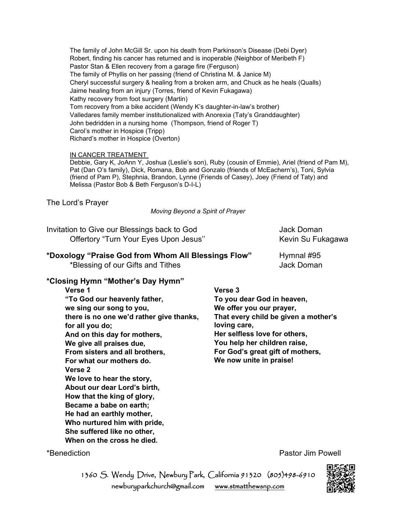The family of John McGill Sr. upon his death from Parkinson's Disease (Debi Dyer) Robert, finding his cancer has returned and is inoperable (Neighbor of Meribeth F) Pastor Stan & Ellen recovery from a garage fire (Ferguson) The family of Phyllis on her passing (friend of Christina M. & Janice M) Cheryl successful surgery & healing from a broken arm, and Chuck as he heals (Qualls) Jaime healing from an injury (Torres, friend of Kevin Fukagawa) Kathy recovery from foot surgery (Martin) Tom recovery from a bike accident (Wendy K's daughter-in-law's brother) Valledares family member institutionalized with Anorexia (Taty's Granddaughter) John bedridden in a nursing home (Thompson, friend of Roger T) Carol's mother in Hospice (Tripp) Richard's mother in Hospice (Overton)

#### IN CANCER TREATMENT

Debbie, Gary K, JoAnn Y, Joshua (Leslie's son), Ruby (cousin of Emmie), Ariel (friend of Pam M), Pat (Dan O's family), Dick, Romana, Bob and Gonzalo (friends of McEachern's), Toni, Sylvia (friend of Pam P), Stephnia, Brandon, Lynne (Friends of Casey), Joey (Friend of Taty) and Melissa (Pastor Bob & Beth Ferguson's D-I-L)

The Lord's Prayer

*Moving Beyond a Spirit of Prayer*

| Invitation to Give our Blessings back to God | Jack Doman        |
|----------------------------------------------|-------------------|
| Offertory "Turn Your Eyes Upon Jesus"        | Kevin Su Fukagawa |

# **\*Doxology "Praise God from Whom All Blessings Flow"** Hymnal #95

\*Blessing of our Gifts and Tithes Jack Doman

## **\*Closing Hymn "Mother's Day Hymn"**

**Verse 3 To you dear God in heaven, We offer you our prayer, That every child be given a mother's loving care, Her selfless love for others, You help her children raise, For God's great gift of mothers, We now unite in praise!**

\*Benediction **Pastor Jim Powell** 

1360 S. Wendy Drive, Newbury Park, California 91320 (805)498-6910 newburyparkchurch@gmail.com [www.stmatthewsnp.com](http://www.stmatthewsnp.com/)